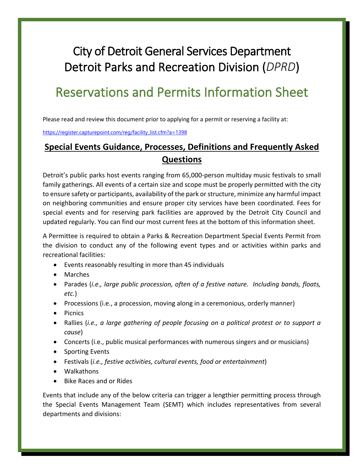# City of Detroit General Services Department Detroit Parks and Recreation Division (*DPRD*)

# Reservations and Permits Information Sheet

Please read and review this document prior to applying for a permit or reserving a facility at:

[https://register.capturepoint.com/reg/facility\\_list.cfm?a=1398](https://register.capturepoint.com/reg/facility_list.cfm?a=1398)

# **Special Events Guidance, Processes, Definitions and Frequently Asked Questions**

Detroit's public parks host events ranging from 65,000-person multiday music festivals to small family gatherings. All events of a certain size and scope must be properly permitted with the city to ensure safety or participants, availability of the park or structure, minimize any harmful impact on neighboring communities and ensure proper city services have been coordinated. Fees for special events and for reserving park facilities are approved by the Detroit City Council and updated regularly. You can find our most current fees at the bottom of this information sheet.

A Permittee is required to obtain a Parks & Recreation Department Special Events Permit from the division to conduct any of the following event types and or activities within parks and recreational facilities:

- $\bullet$  Events reasonably resulting in more than 45 individuals
- Marches
- x Parades (*i.e., large public procession, often of a festive nature. Including bands, floats, etc.*)
- Processions (i.e., a procession, moving along in a ceremonious, orderly manner)
- Picnics
- Rallies (*i.e., a large gathering of people focusing on a political protest or to support a cause*)
- Concerts (i.e., public musical performances with numerous singers and or musicians)
- Sporting Events
- x Festivals (*i.e., festive activities, cultural events, food or entertainment*)
- Walkathons
- x Bike Races and or Rides

Events that include any of the below criteria can trigger a lengthier permitting process through the Special Events Management Team (SEMT) which includes representatives from several departments and divisions: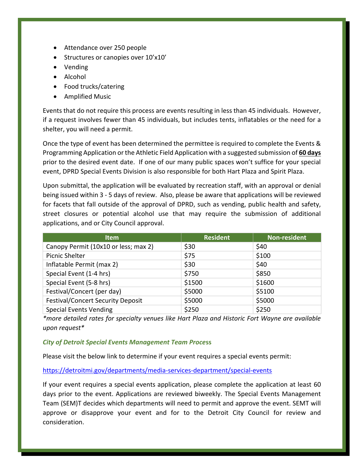- Attendance over 250 people
- Structures or canopies over 10'x10'
- Vending
- $\bullet$  Alcohol
- Food trucks/catering
- Amplified Music

Events that do not require this process are events resulting in less than 45 individuals. However, if a request involves fewer than 45 individuals, but includes tents, inflatables or the need for a shelter, you will need a permit.

Once the type of event has been determined the permittee is required to complete the Events & Programming Application or the Athletic Field Application with a suggested submission of **60 days** prior to the desired event date. If one of our many public spaces won't suffice for your special event, DPRD Special Events Division is also responsible for both Hart Plaza and Spirit Plaza.

Upon submittal, the application will be evaluated by recreation staff, with an approval or denial being issued within 3 - 5 days of review. Also, please be aware that applications will be reviewed for facets that fall outside of the approval of DPRD, such as vending, public health and safety, street closures or potential alcohol use that may require the submission of additional applications, and or City Council approval.

| <b>Item</b>                              | <b>Resident</b> | Non-resident |
|------------------------------------------|-----------------|--------------|
| Canopy Permit (10x10 or less; max 2)     | \$30            | \$40         |
| <b>Picnic Shelter</b>                    | \$75            | \$100        |
| Inflatable Permit (max 2)                | \$30            | \$40         |
| Special Event (1-4 hrs)                  | \$750           | \$850        |
| Special Event (5-8 hrs)                  | \$1500          | \$1600       |
| Festival/Concert (per day)               | \$5000          | \$5100       |
| <b>Festival/Concert Security Deposit</b> | \$5000          | \$5000       |
| <b>Special Events Vending</b>            | \$250           | \$250        |

*\*more detailed rates for specialty venues like Hart Plaza and Historic Fort Wayne are available upon request\**

#### *City of Detroit Special Events Management Team Proce***ss**

Please visit the below link to determine if your event requires a special events permit:

<https://detroitmi.gov/departments/media-services-department/special-events>

If your event requires a special events application, please complete the application at least 60 days prior to the event. Applications are reviewed biweekly. The Special Events Management Team (SEM)T decides which departments will need to permit and approve the event. SEMT will approve or disapprove your event and for to the Detroit City Council for review and consideration.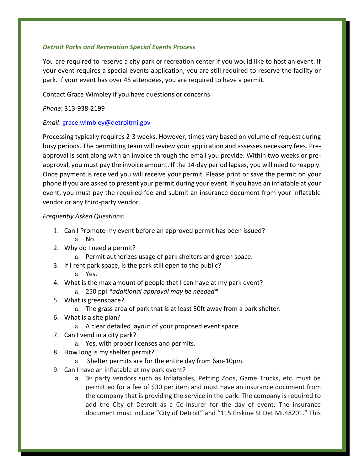#### *Detroit Parks and Recreation Special Events Process*

You are required to reserve a city park or recreation center if you would like to host an event. If your event requires a special events application, you are still required to reserve the facility or park. If your event has over 45 attendees, you are required to have a permit.

Contact Grace Wimbley if you have questions or concerns.

#### *Phone*: 313-938-2199

#### *Email*: [grace.wimbley@detroitmi.gov](mailto:grace.wimbley@detroitmi.gov)

Processing typically requires 2-3 weeks. However, times vary based on volume of request during busy periods. The permitting team will review your application and assesses necessary fees. Preapproval is sent along with an invoice through the email you provide. Within two weeks or preapproval, you must pay the invoice amount. If the 14-day period lapses, you will need to reapply. Once payment is received you will receive your permit. Please print or save the permit on your phone if you are asked to present your permit during your event. If you have an inflatable at your event, you must pay the required fee and submit an insurance document from your inflatable vendor or any third-party vendor.

#### *Frequently Asked Questions:*

- 1. Can I Promote my event before an approved permit has been issued?
	- a. No.
- 2. Why do I need a permit?
	- a. Permit authorizes usage of park shelters and green space.
- 3. If I rent park space, is the park still open to the public?

#### a. Yes.

- 4. What is the max amount of people that I can have at my park event?
	- a. 250 ppl *\*additional approval may be needed\**
- 5. What is greenspace?
	- a. The grass area of park that is at least 50ft away from a park shelter.
- 6. What is a site plan?
	- a. A clear detailed layout of your proposed event space.
- 7. Can I vend in a city park?
	- a. Yes, with proper licenses and permits.
- 8. How long is my shelter permit?
	- a. Shelter permits are for the entire day from 6an-10pm.
- 9. Can I have an inflatable at my park event?
	- a. 3<sup>rd</sup> party vendors such as Inflatables, Petting Zoos, Game Trucks, etc. must be permitted for a fee of \$30 per item and must have an insurance document from the company that is providing the service in the park. The company is required to add the City of Detroit as a Co-Insurer for the day of event. The insurance document must include "City of Detroit" and "115 Erskine St Det Mi.48201." This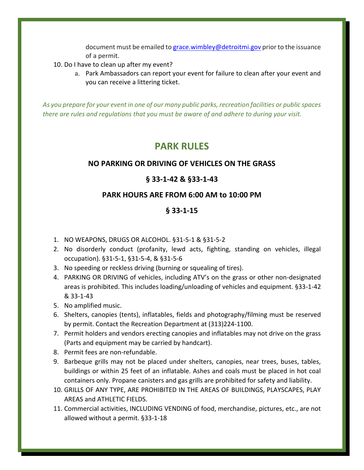document must be emailed to [grace.wimbley@detroitmi.gov](mailto:grace.wimbley@detroitmi.gov) prior to the issuance of a permit.

- 10. Do I have to clean up after my event?
	- a. Park Ambassadors can report your event for failure to clean after your event and you can receive a littering ticket.

*As you prepare for your event in one of our many public parks, recreation facilities or public spaces there are rules and regulations that you must be aware of and adhere to during your visit.* 

# **PARK RULES**

## **NO PARKING OR DRIVING OF VEHICLES ON THE GRASS**

## **§ 33-1-42 & §33-1-43**

## **PARK HOURS ARE FROM 6:00 AM to 10:00 PM**

## **§ 33-1-15**

- 1. NO WEAPONS, DRUGS OR ALCOHOL. §31-5-1 & §31-5-2
- 2. No disorderly conduct (profanity, lewd acts, fighting, standing on vehicles, illegal occupation). §31-5-1, §31-5-4, & §31-5-6
- 3. No speeding or reckless driving (burning or squealing of tires).
- 4. PARKING OR DRIVING of vehicles, including ATV's on the grass or other non-designated areas is prohibited. This includes loading/unloading of vehicles and equipment. §33-1-42 & 33-1-43
- 5. No amplified music.
- 6. Shelters, canopies (tents), inflatables, fields and photography/filming must be reserved by permit. Contact the Recreation Department at (313)224-1100.
- 7. Permit holders and vendors erecting canopies and inflatables may not drive on the grass (Parts and equipment may be carried by handcart).
- 8. Permit fees are non-refundable.
- 9. Barbeque grills may not be placed under shelters, canopies, near trees, buses, tables, buildings or within 25 feet of an inflatable. Ashes and coals must be placed in hot coal containers only. Propane canisters and gas grills are prohibited for safety and liability.
- 10. GRILLS OF ANY TYPE, ARE PROHIBITED IN THE AREAS OF BUILDINGS, PLAYSCAPES, PLAY AREAS and ATHLETIC FIELDS.
- 11. Commercial activities, INCLUDING VENDING of food, merchandise, pictures, etc., are not allowed without a permit. §33-1-18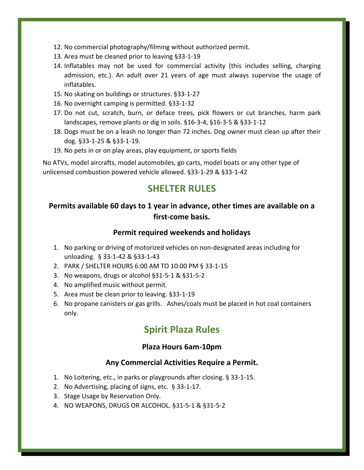- 12. No commercial photography/filming without authorized permit.
- 13. Area must be cleaned prior to leaving §33-1-19
- 14. Inflatables may not be used for commercial activity (this includes selling, charging admission, etc.). An adult over 21 years of age must always supervise the usage of inflatables.
- 15. No skating on buildings or structures. §33-1-27
- 16. No overnight camping is permitted. §33-1-32
- 17. Do not cut, scratch, burn, or deface trees, pick flowers or cut branches, harm park landscapes, remove plants or dig in soils. §16-3-4, §16-3-5 & §33-1-12
- 18. Dogs must be on a leash no longer than 72 inches. Dog owner must clean up after their dog. §33-1-25 & §33-1-19.
- 19. No pets in or on play areas, play equipment, or sports fields

No ATVs, model aircrafts, model automobiles, go carts, model boats or any other type of unlicensed combustion powered vehicle allowed. §33-1-29 & §33-1-42

# **SHELTER RULES**

# **Permits available 60 days to 1 year in advance, other times are available on a first-come basis.**

### **Permit required weekends and holidays**

- 1. No parking or driving of motorized vehicles on non-designated areas including for unloading. § 33-1-42 & §33-1-43
- 2. PARK / SHELTER HOURS 6:00 AM TO 10:00 PM § 33-1-15
- 3. No weapons, drugs or alcohol §31-5-1 & §31-5-2
- 4. No amplified music without permit.
- 5. Area must be clean prior to leaving. §33-1-19
- 6. No propane canisters or gas grills. Ashes/coals must be placed in hot coal containers only.

# **Spirit Plaza Rules**

### **Plaza Hours 6am-10pm**

#### **Any Commercial Activities Require a Permit.**

- 1. No Loitering, etc., in parks or playgrounds after closing. § 33-1-15.
- 2. No Advertising, placing of signs, etc. § 33-1-17.
- 3. Stage Usage by Reservation Only.
- 4. NO WEAPONS, DRUGS OR ALCOHOL. §31-5-1 & §31-5-2